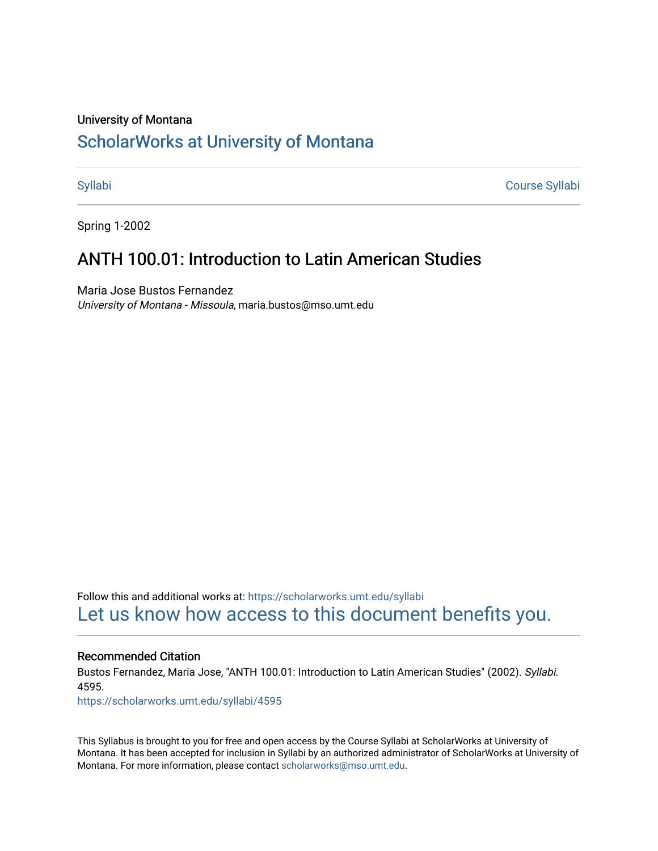#### University of Montana

# [ScholarWorks at University of Montana](https://scholarworks.umt.edu/)

[Syllabi](https://scholarworks.umt.edu/syllabi) [Course Syllabi](https://scholarworks.umt.edu/course_syllabi) 

Spring 1-2002

# ANTH 100.01: Introduction to Latin American Studies

Maria Jose Bustos Fernandez University of Montana - Missoula, maria.bustos@mso.umt.edu

Follow this and additional works at: [https://scholarworks.umt.edu/syllabi](https://scholarworks.umt.edu/syllabi?utm_source=scholarworks.umt.edu%2Fsyllabi%2F4595&utm_medium=PDF&utm_campaign=PDFCoverPages)  [Let us know how access to this document benefits you.](https://goo.gl/forms/s2rGfXOLzz71qgsB2) 

#### Recommended Citation

Bustos Fernandez, Maria Jose, "ANTH 100.01: Introduction to Latin American Studies" (2002). Syllabi. 4595.

[https://scholarworks.umt.edu/syllabi/4595](https://scholarworks.umt.edu/syllabi/4595?utm_source=scholarworks.umt.edu%2Fsyllabi%2F4595&utm_medium=PDF&utm_campaign=PDFCoverPages)

This Syllabus is brought to you for free and open access by the Course Syllabi at ScholarWorks at University of Montana. It has been accepted for inclusion in Syllabi by an authorized administrator of ScholarWorks at University of Montana. For more information, please contact [scholarworks@mso.umt.edu.](mailto:scholarworks@mso.umt.edu)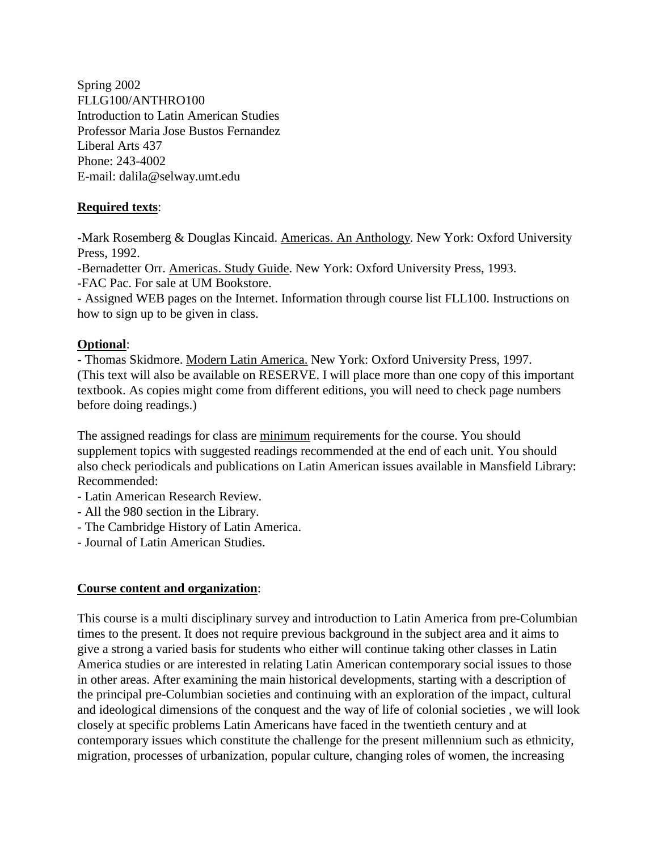Spring 2002 FLLG100/ANTHRO100 Introduction to Latin American Studies Professor Maria Jose Bustos Fernandez Liberal Arts 437 Phone: 243-4002 E-mail: dalila@selway.umt.edu

# **Required texts**:

-Mark Rosemberg & Douglas Kincaid. Americas. An Anthology. New York: Oxford University Press, 1992.

-Bernadetter Orr. Americas. Study Guide. New York: Oxford University Press, 1993.

-FAC Pac. For sale at UM Bookstore.

- Assigned WEB pages on the Internet. Information through course list FLL100. Instructions on how to sign up to be given in class.

# **Optional**:

- Thomas Skidmore. Modern Latin America. New York: Oxford University Press, 1997. (This text will also be available on RESERVE. I will place more than one copy of this important textbook. As copies might come from different editions, you will need to check page numbers before doing readings.)

The assigned readings for class are minimum requirements for the course. You should supplement topics with suggested readings recommended at the end of each unit. You should also check periodicals and publications on Latin American issues available in Mansfield Library: Recommended:

- Latin American Research Review.
- All the 980 section in the Library.
- The Cambridge History of Latin America.
- Journal of Latin American Studies.

# **Course content and organization**:

This course is a multi disciplinary survey and introduction to Latin America from pre-Columbian times to the present. It does not require previous background in the subject area and it aims to give a strong a varied basis for students who either will continue taking other classes in Latin America studies or are interested in relating Latin American contemporary social issues to those in other areas. After examining the main historical developments, starting with a description of the principal pre-Columbian societies and continuing with an exploration of the impact, cultural and ideological dimensions of the conquest and the way of life of colonial societies , we will look closely at specific problems Latin Americans have faced in the twentieth century and at contemporary issues which constitute the challenge for the present millennium such as ethnicity, migration, processes of urbanization, popular culture, changing roles of women, the increasing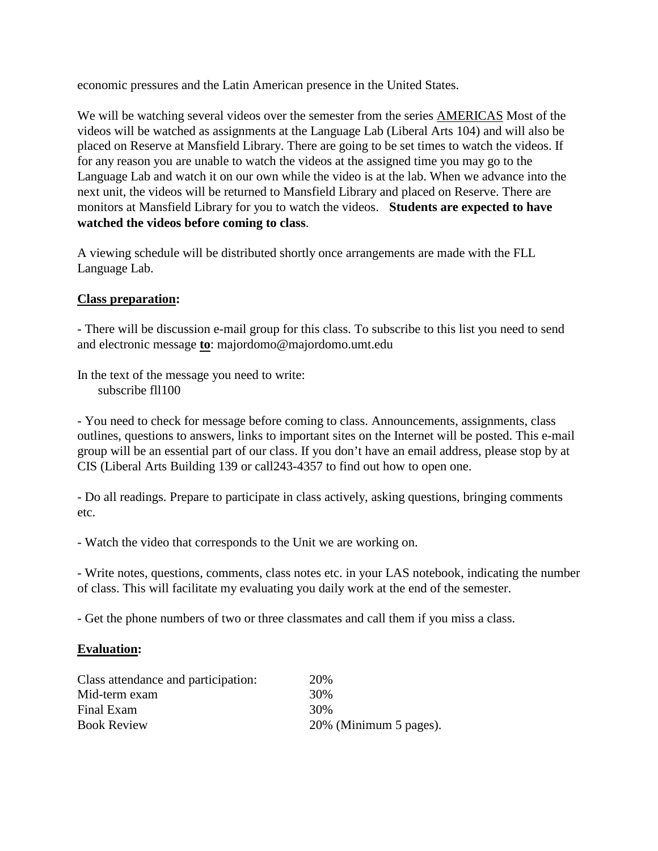economic pressures and the Latin American presence in the United States.

We will be watching several videos over the semester from the series **AMERICAS** Most of the videos will be watched as assignments at the Language Lab (Liberal Arts 104) and will also be placed on Reserve at Mansfield Library. There are going to be set times to watch the videos. If for any reason you are unable to watch the videos at the assigned time you may go to the Language Lab and watch it on our own while the video is at the lab. When we advance into the next unit, the videos will be returned to Mansfield Library and placed on Reserve. There are monitors at Mansfield Library for you to watch the videos. **Students are expected to have watched the videos before coming to class**.

A viewing schedule will be distributed shortly once arrangements are made with the FLL Language Lab.

# **Class preparation:**

- There will be discussion e-mail group for this class. To subscribe to this list you need to send and electronic message **to**: majordomo@majordomo.umt.edu

In the text of the message you need to write: subscribe fll100

- You need to check for message before coming to class. Announcements, assignments, class outlines, questions to answers, links to important sites on the Internet will be posted. This e-mail group will be an essential part of our class. If you don't have an email address, please stop by at CIS (Liberal Arts Building 139 or call243-4357 to find out how to open one.

- Do all readings. Prepare to participate in class actively, asking questions, bringing comments etc.

- Watch the video that corresponds to the Unit we are working on.

- Write notes, questions, comments, class notes etc. in your LAS notebook, indicating the number of class. This will facilitate my evaluating you daily work at the end of the semester.

- Get the phone numbers of two or three classmates and call them if you miss a class.

# **Evaluation:**

| Class attendance and participation: | 20\%                   |
|-------------------------------------|------------------------|
| Mid-term exam                       | 30%                    |
| Final Exam                          | 30%                    |
| <b>Book Review</b>                  | 20% (Minimum 5 pages). |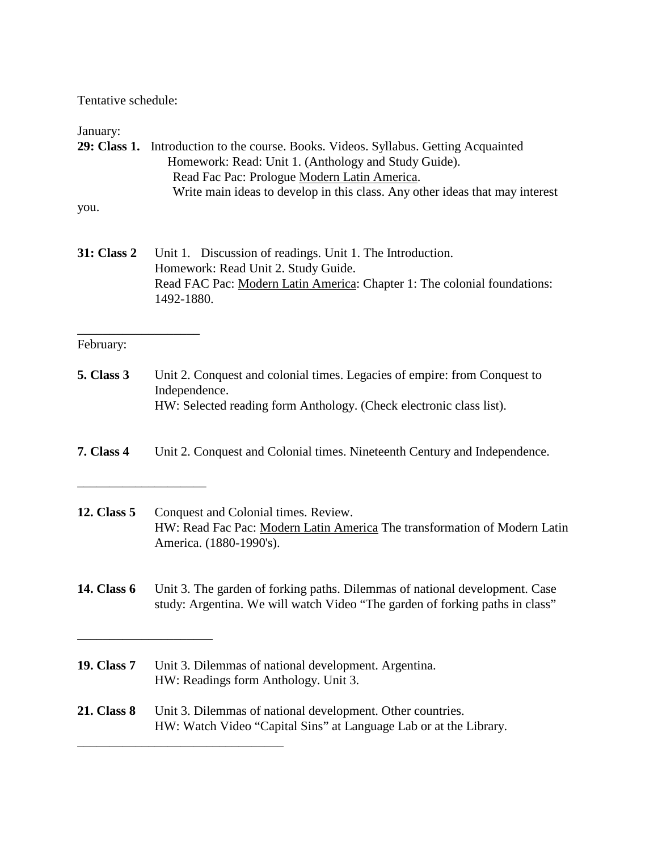Tentative schedule:

#### January:

- **29: Class 1.** Introduction to the course. Books. Videos. Syllabus. Getting Acquainted Homework: Read: Unit 1. (Anthology and Study Guide). Read Fac Pac: Prologue Modern Latin America. Write main ideas to develop in this class. Any other ideas that may interest you.
- **31: Class 2** Unit 1. Discussion of readings. Unit 1. The Introduction. Homework: Read Unit 2. Study Guide. Read FAC Pac: Modern Latin America: Chapter 1: The colonial foundations: 1492-1880.

#### February:

\_\_\_\_\_\_\_\_\_\_\_\_\_\_\_\_\_\_\_

\_\_\_\_\_\_\_\_\_\_\_\_\_\_\_\_\_\_\_\_

\_\_\_\_\_\_\_\_\_\_\_\_\_\_\_\_\_\_\_\_\_

 $\overline{\phantom{a}}$  , where  $\overline{\phantom{a}}$  , where  $\overline{\phantom{a}}$  ,  $\overline{\phantom{a}}$  ,  $\overline{\phantom{a}}$  ,  $\overline{\phantom{a}}$  ,  $\overline{\phantom{a}}$  ,  $\overline{\phantom{a}}$  ,  $\overline{\phantom{a}}$  ,  $\overline{\phantom{a}}$  ,  $\overline{\phantom{a}}$  ,  $\overline{\phantom{a}}$  ,  $\overline{\phantom{a}}$  ,  $\overline{\phantom{a}}$  ,  $\overline{\phantom{a}}$  ,

- **5. Class 3** Unit 2. Conquest and colonial times. Legacies of empire: from Conquest to Independence. HW: Selected reading form Anthology. (Check electronic class list).
- **7. Class 4** Unit 2. Conquest and Colonial times. Nineteenth Century and Independence.
- **12. Class 5** Conquest and Colonial times. Review. HW: Read Fac Pac: Modern Latin America The transformation of Modern Latin America. (1880-1990's).
- **14. Class 6** Unit 3. The garden of forking paths. Dilemmas of national development. Case study: Argentina. We will watch Video "The garden of forking paths in class"
- **19. Class 7** Unit 3. Dilemmas of national development. Argentina. HW: Readings form Anthology. Unit 3.
- **21. Class 8** Unit 3. Dilemmas of national development. Other countries. HW: Watch Video "Capital Sins" at Language Lab or at the Library.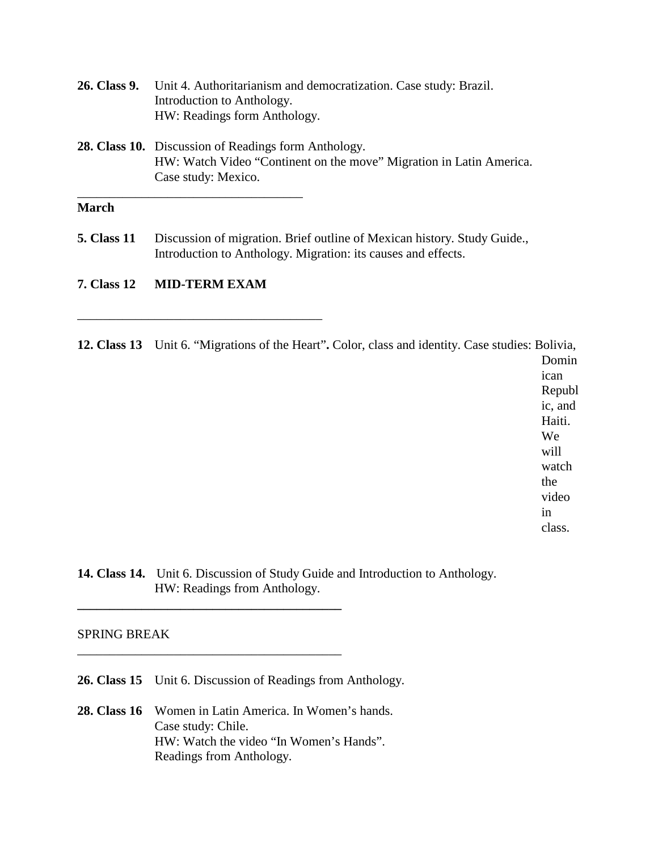| 26. Class 9. | Unit 4. Authoritarianism and democratization. Case study: Brazil.<br>Introduction to Anthology.<br>HW: Readings form Anthology.                           |  |  |  |  |
|--------------|-----------------------------------------------------------------------------------------------------------------------------------------------------------|--|--|--|--|
|              | <b>28. Class 10.</b> Discussion of Readings form Anthology.<br>HW: Watch Video "Continent on the move" Migration in Latin America.<br>Case study: Mexico. |  |  |  |  |

# **March**

**5. Class 11** Discussion of migration. Brief outline of Mexican history. Study Guide., Introduction to Anthology. Migration: its causes and effects.

#### **7. Class 12 MID-TERM EXAM**

\_\_\_\_\_\_\_\_\_\_\_\_\_\_\_\_\_\_\_\_\_\_\_\_\_\_\_\_\_\_\_\_\_\_\_\_\_\_

**12. Class 13** Unit 6. "Migrations of the Heart"**.** Color, class and identity. Case studies: Bolivia,

Domin ican Republ ic, and Haiti. We will watch the video in class.

**14. Class 14.** Unit 6. Discussion of Study Guide and Introduction to Anthology. HW: Readings from Anthology.

#### SPRING BREAK

**26. Class 15** Unit 6. Discussion of Readings from Anthology.

**\_\_\_\_\_\_\_\_\_\_\_\_\_\_\_\_\_\_\_\_\_\_\_\_\_\_\_\_\_\_\_\_\_\_\_\_\_\_\_\_\_**

\_\_\_\_\_\_\_\_\_\_\_\_\_\_\_\_\_\_\_\_\_\_\_\_\_\_\_\_\_\_\_\_\_\_\_\_\_\_\_\_\_

**28. Class 16** Women in Latin America. In Women's hands. Case study: Chile. HW: Watch the video "In Women's Hands". Readings from Anthology.